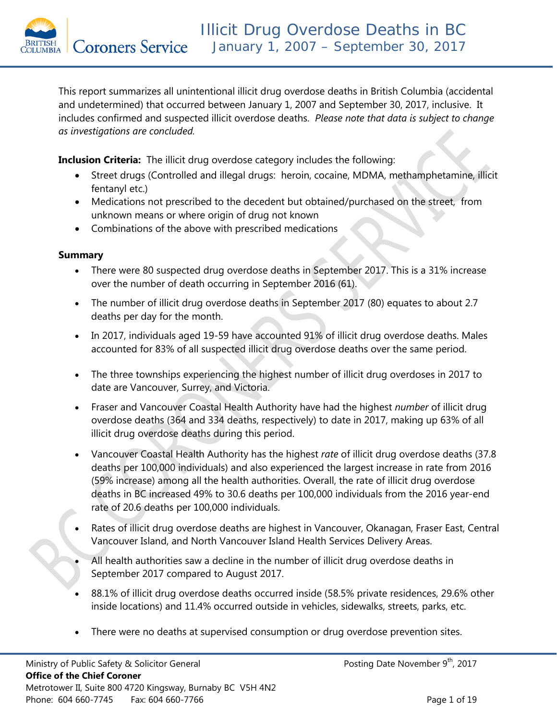This report summarizes all unintentional illicit drug overdose deaths in British Columbia (accidental and undetermined) that occurred between January 1, 2007 and September 30, 2017, inclusive. It includes confirmed and suspected illicit overdose deaths. *Please note that data is subject to change as investigations are concluded.* 

**Inclusion Criteria:** The illicit drug overdose category includes the following:

- Street drugs (Controlled and illegal drugs: heroin, cocaine, MDMA, methamphetamine, illicit fentanyl etc.)
- Medications not prescribed to the decedent but obtained/purchased on the street, from unknown means or where origin of drug not known
- Combinations of the above with prescribed medications

### **Summary**

- There were 80 suspected drug overdose deaths in September 2017. This is a 31% increase over the number of death occurring in September 2016 (61).
- The number of illicit drug overdose deaths in September 2017 (80) equates to about 2.7 deaths per day for the month.
- In 2017, individuals aged 19-59 have accounted 91% of illicit drug overdose deaths. Males accounted for 83% of all suspected illicit drug overdose deaths over the same period.
- The three townships experiencing the highest number of illicit drug overdoses in 2017 to date are Vancouver, Surrey, and Victoria.
- Fraser and Vancouver Coastal Health Authority have had the highest *number* of illicit drug overdose deaths (364 and 334 deaths, respectively) to date in 2017, making up 63% of all illicit drug overdose deaths during this period.
- Vancouver Coastal Health Authority has the highest *rate* of illicit drug overdose deaths (37.8 deaths per 100,000 individuals) and also experienced the largest increase in rate from 2016 (59% increase) among all the health authorities. Overall, the rate of illicit drug overdose deaths in BC increased 49% to 30.6 deaths per 100,000 individuals from the 2016 year-end rate of 20.6 deaths per 100,000 individuals.
- Rates of illicit drug overdose deaths are highest in Vancouver, Okanagan, Fraser East, Central Vancouver Island, and North Vancouver Island Health Services Delivery Areas.
- All health authorities saw a decline in the number of illicit drug overdose deaths in September 2017 compared to August 2017.
- 88.1% of illicit drug overdose deaths occurred inside (58.5% private residences, 29.6% other inside locations) and 11.4% occurred outside in vehicles, sidewalks, streets, parks, etc.
- There were no deaths at supervised consumption or drug overdose prevention sites.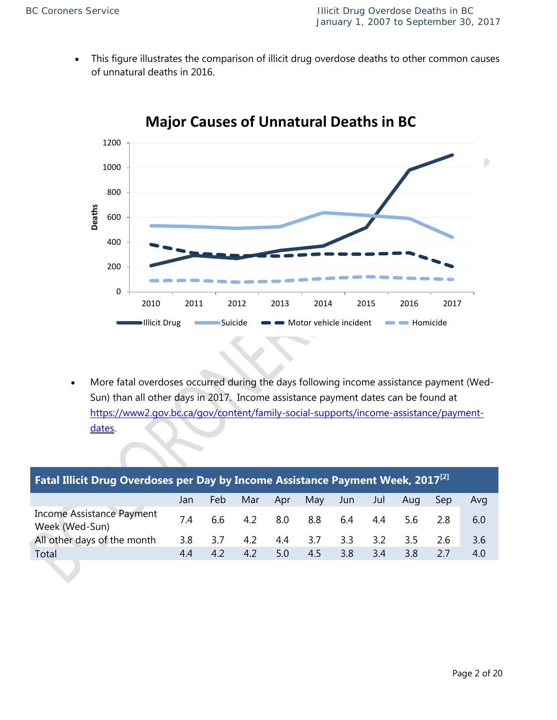This figure illustrates the comparison of illicit drug overdose deaths to other common causes of unnatural deaths in 2016.



# **Major Causes of Unnatural Deaths in BC**

• More fatal overdoses occurred during the days following income assistance payment (Wed-Sun) than all other days in 2017. Income assistance payment dates can be found at [https://www2.gov.bc.ca/gov/content/family-social-supports/income-assistance/payment](https://www2.gov.bc.ca/gov/content/family-social-supports/income-assistance/payment-dates)[dates.](https://www2.gov.bc.ca/gov/content/family-social-supports/income-assistance/payment-dates)

| <b>Fatal Illicit Drug Overdoses per Day by Income Assistance Payment Week, 2017<sup>[2]</sup></b> |     |      |     |     |     |      |     |     |     |     |  |  |
|---------------------------------------------------------------------------------------------------|-----|------|-----|-----|-----|------|-----|-----|-----|-----|--|--|
|                                                                                                   | Jan | Feb. | Mar | Apr | May | Jun. | Jul | Aug | Sep | Avg |  |  |
| <b>Income Assistance Payment</b><br>Week (Wed-Sun)                                                | 74  | 6.6  | 4.2 | 8.0 | 8.8 | 6.4  | 4.4 | 5.6 | 28  | 6.0 |  |  |
| All other days of the month                                                                       | 3.8 | 3.7  | 4.2 | 4.4 | 3.7 | 3.3  | 3.2 | 3.5 | 2.6 | 3.6 |  |  |
| Total                                                                                             | 4.4 | 4.2  | 4.2 | 5.0 | 4.5 | 3.8  | 3.4 | 3.8 | 2.7 | 4.0 |  |  |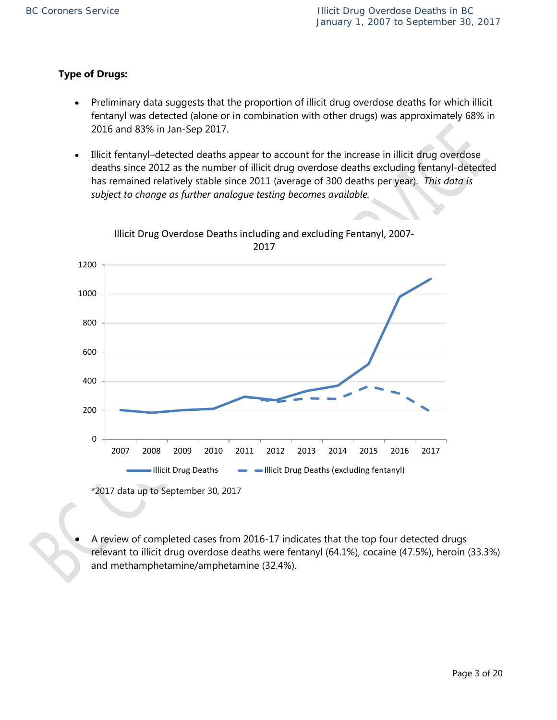### **Type of Drugs:**

- Preliminary data suggests that the proportion of illicit drug overdose deaths for which illicit fentanyl was detected (alone or in combination with other drugs) was approximately 68% in 2016 and 83% in Jan-Sep 2017.
- Illicit fentanyl–detected deaths appear to account for the increase in illicit drug overdose deaths since 2012 as the number of illicit drug overdose deaths excluding fentanyl-detected has remained relatively stable since 2011 (average of 300 deaths per year). *This data is subject to change as further analogue testing becomes available.*



Illicit Drug Overdose Deaths including and excluding Fentanyl, 2007- 2017

\*2017 data up to September 30, 2017

• A review of completed cases from 2016-17 indicates that the top four detected drugs relevant to illicit drug overdose deaths were fentanyl (64.1%), cocaine (47.5%), heroin (33.3%) and methamphetamine/amphetamine (32.4%).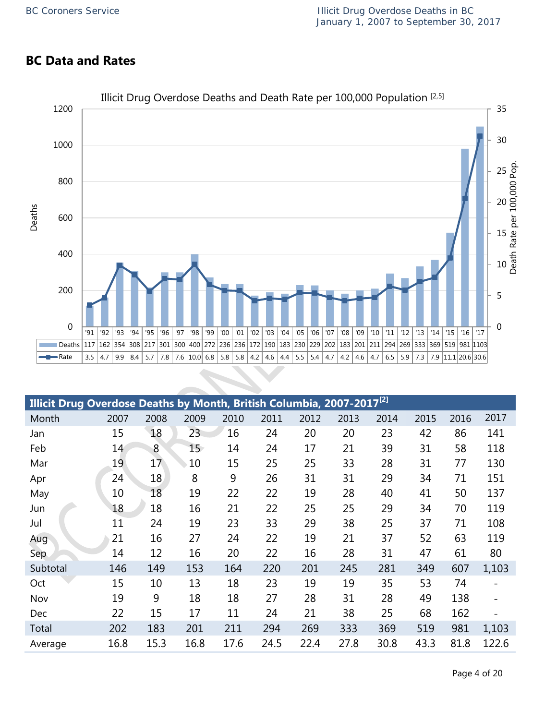## **BC Data and Rates**



| Illicit Drug Overdose Deaths by Month, British Columbia, 2007-2017 <sup>[2]</sup> |      |      |      |      |      |      |      |      |      |      |       |
|-----------------------------------------------------------------------------------|------|------|------|------|------|------|------|------|------|------|-------|
| Month                                                                             | 2007 | 2008 | 2009 | 2010 | 2011 | 2012 | 2013 | 2014 | 2015 | 2016 | 2017  |
| Jan                                                                               | 15   | 18   | 23   | 16   | 24   | 20   | 20   | 23   | 42   | 86   | 141   |
| Feb                                                                               | 14   | 8    | 15   | 14   | 24   | 17   | 21   | 39   | 31   | 58   | 118   |
| Mar                                                                               | 19   | 17   | 10   | 15   | 25   | 25   | 33   | 28   | 31   | 77   | 130   |
| Apr                                                                               | 24   | 18   | 8    | 9    | 26   | 31   | 31   | 29   | 34   | 71   | 151   |
| May                                                                               | 10   | 18   | 19   | 22   | 22   | 19   | 28   | 40   | 41   | 50   | 137   |
| Jun                                                                               | 18   | 18   | 16   | 21   | 22   | 25   | 25   | 29   | 34   | 70   | 119   |
| Jul                                                                               | 11   | 24   | 19   | 23   | 33   | 29   | 38   | 25   | 37   | 71   | 108   |
| Aug                                                                               | 21   | 16   | 27   | 24   | 22   | 19   | 21   | 37   | 52   | 63   | 119   |
| <b>Sep</b>                                                                        | 14   | 12   | 16   | 20   | 22   | 16   | 28   | 31   | 47   | 61   | 80    |
| Subtotal                                                                          | 146  | 149  | 153  | 164  | 220  | 201  | 245  | 281  | 349  | 607  | 1,103 |
| Oct                                                                               | 15   | 10   | 13   | 18   | 23   | 19   | 19   | 35   | 53   | 74   |       |
| Nov                                                                               | 19   | 9    | 18   | 18   | 27   | 28   | 31   | 28   | 49   | 138  |       |
| <b>Dec</b>                                                                        | 22   | 15   | 17   | 11   | 24   | 21   | 38   | 25   | 68   | 162  |       |
| Total                                                                             | 202  | 183  | 201  | 211  | 294  | 269  | 333  | 369  | 519  | 981  | 1,103 |
| Average                                                                           | 16.8 | 15.3 | 16.8 | 17.6 | 24.5 | 22.4 | 27.8 | 30.8 | 43.3 | 81.8 | 122.6 |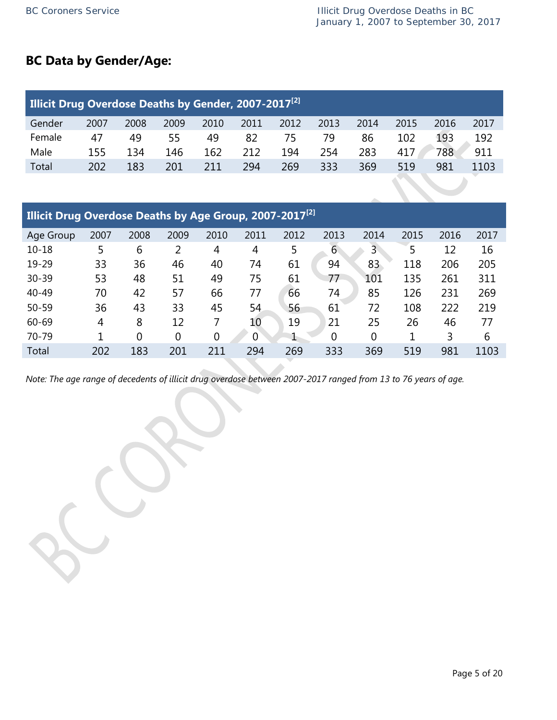## **BC Data by Gender/Age:**

| <b>Illicit Drug Overdose Deaths by Gender, 2007-2017</b> <sup>[2]</sup> |      |      |      |      |      |      |      |      |      |      |      |
|-------------------------------------------------------------------------|------|------|------|------|------|------|------|------|------|------|------|
| Gender                                                                  | 2007 | 2008 | 2009 | 2010 | 2011 | 2012 | 2013 | 2014 | 2015 | 2016 | 2017 |
| Female                                                                  | 47   | 49   | 55   | 49   | 82   | 75   | 79   | 86   | 102  | 193  | 192  |
| Male                                                                    | 155  | 134  | 146  | 162  | 212  | 194  | 254  | 283  | 417  | 788  | 911  |
| Total                                                                   | 202  | 183  | 201  | 211  | 294  | 269  | 333  | 369  | 519  | 981  | 1103 |

| <b>Illicit Drug Overdose Deaths by Age Group, 2007-2017</b> <sup>[2]</sup> |      |                |                |                |      |      |                |                |      |      |      |  |  |
|----------------------------------------------------------------------------|------|----------------|----------------|----------------|------|------|----------------|----------------|------|------|------|--|--|
| Age Group                                                                  | 2007 | 2008           | 2009           | 2010           | 2011 | 2012 | 2013           | 2014           | 2015 | 2016 | 2017 |  |  |
| $10 - 18$                                                                  | 5    | 6              | 2              | 4              | 4    | 5    | 6              | 3              | 5    | 12   | 16   |  |  |
| 19-29                                                                      | 33   | 36             | 46             | 40             | 74   | 61   | 94             | 83             | 118  | 206  | 205  |  |  |
| 30-39                                                                      | 53   | 48             | 51             | 49             | 75   | 61   | 77             | 101            | 135  | 261  | 311  |  |  |
| 40-49                                                                      | 70   | 42             | 57             | 66             | 77   | 66   | 74             | 85             | 126  | 231  | 269  |  |  |
| $50 - 59$                                                                  | 36   | 43             | 33             | 45             | 54   | 56   | 61             | 72             | 108  | 222  | 219  |  |  |
| 60-69                                                                      | 4    | 8              | 12             |                | 10   | 19   | 21             | 25             | 26   | 46   | 77   |  |  |
| 70-79                                                                      |      | $\overline{0}$ | $\overline{0}$ | $\overline{0}$ | 0    |      | $\overline{0}$ | $\overline{0}$ |      | 3    | 6    |  |  |
| Total                                                                      | 202  | 183            | 201            | 211            | 294  | 269  | 333            | 369            | 519  | 981  | 1103 |  |  |

*Note: The age range of decedents of illicit drug overdose between 2007-2017 ranged from 13 to 76 years of age.*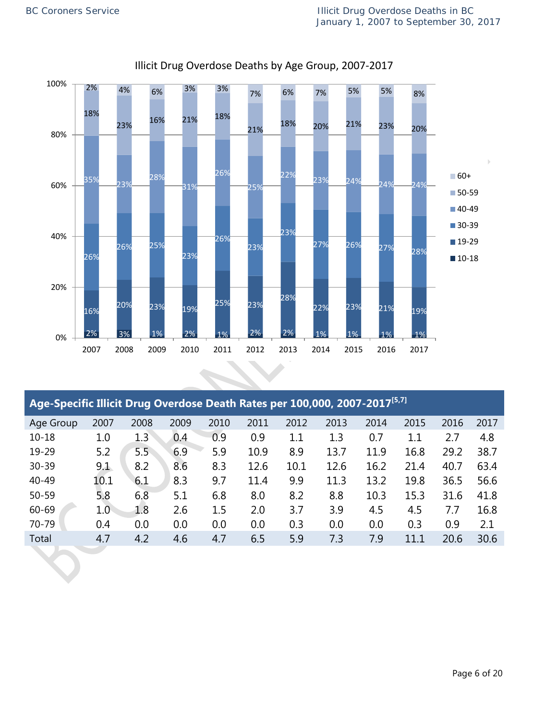

### Illicit Drug Overdose Deaths by Age Group, 2007-2017

| Age-Specific Illicit Drug Overdose Death Rates per 100,000, 2007-2017 <sup>[5,7]</sup> |      |      |      |      |      |         |      |      |         |      |      |
|----------------------------------------------------------------------------------------|------|------|------|------|------|---------|------|------|---------|------|------|
| Age Group                                                                              | 2007 | 2008 | 2009 | 2010 | 2011 | 2012    | 2013 | 2014 | 2015    | 2016 | 2017 |
| $10 - 18$                                                                              | 1.0  | 1.3  | 0.4  | 0.9  | 0.9  | $1.1\,$ | 1.3  | 0.7  | $1.1\,$ | 2.7  | 4.8  |
| 19-29                                                                                  | 5.2  | 5.5  | 6.9  | 5.9  | 10.9 | 8.9     | 13.7 | 11.9 | 16.8    | 29.2 | 38.7 |
| $30 - 39$                                                                              | 9.1  | 8.2  | 8.6  | 8.3  | 12.6 | 10.1    | 12.6 | 16.2 | 21.4    | 40.7 | 63.4 |
| 40-49                                                                                  | 10.1 | 6.1  | 8.3  | 9.7  | 11.4 | 9.9     | 11.3 | 13.2 | 19.8    | 36.5 | 56.6 |
| 50-59                                                                                  | 5.8  | 6.8  | 5.1  | 6.8  | 8.0  | 8.2     | 8.8  | 10.3 | 15.3    | 31.6 | 41.8 |
| 60-69                                                                                  | 1.0  | 1.8  | 2.6  | 1.5  | 2.0  | 3.7     | 3.9  | 4.5  | 4.5     | 7.7  | 16.8 |
| 70-79                                                                                  | 0.4  | 0.0  | 0.0  | 0.0  | 0.0  | 0.3     | 0.0  | 0.0  | 0.3     | 0.9  | 2.1  |
| Total                                                                                  | 4.7  | 4.2  | 4.6  | 4.7  | 6.5  | 5.9     | 7.3  | 7.9  | 11.1    | 20.6 | 30.6 |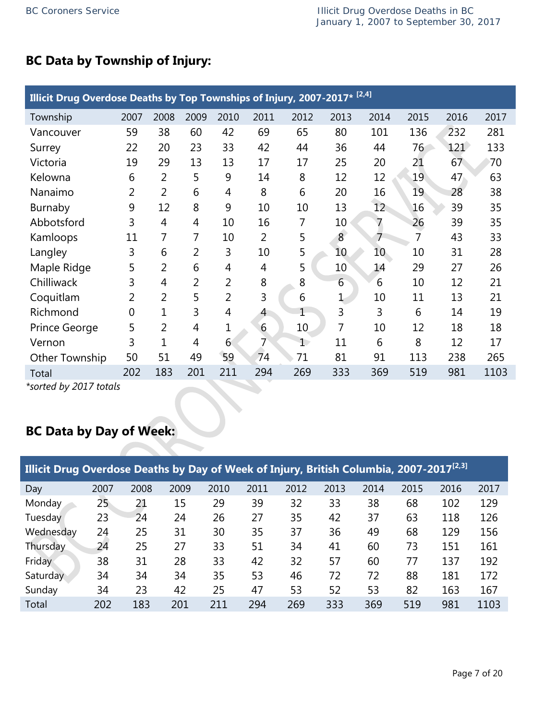# **BC Data by Township of Injury:**

|                | Illicit Drug Overdose Deaths by Top Townships of Injury, 2007-2017* <sup>[2,4]</sup> |                |                |                |                |                |                 |                 |      |      |      |  |  |
|----------------|--------------------------------------------------------------------------------------|----------------|----------------|----------------|----------------|----------------|-----------------|-----------------|------|------|------|--|--|
| Township       | 2007                                                                                 | 2008           | 2009           | 2010           | 2011           | 2012           | 2013            | 2014            | 2015 | 2016 | 2017 |  |  |
| Vancouver      | 59                                                                                   | 38             | 60             | 42             | 69             | 65             | 80              | 101             | 136  | 232  | 281  |  |  |
| Surrey         | 22                                                                                   | 20             | 23             | 33             | 42             | 44             | 36              | 44              | 76   | 121  | 133  |  |  |
| Victoria       | 19                                                                                   | 29             | 13             | 13             | 17             | 17             | 25              | 20              | 21   | 67   | 70   |  |  |
| Kelowna        | 6                                                                                    | $\overline{2}$ | 5              | 9              | 14             | 8              | 12              | 12              | 19   | 47   | 63   |  |  |
| Nanaimo        | 2                                                                                    | $\overline{2}$ | 6              | 4              | 8              | 6              | 20              | 16              | 19   | 28   | 38   |  |  |
| Burnaby        | 9                                                                                    | 12             | 8              | 9              | 10             | 10             | 13              | 12 <sup>°</sup> | 16   | 39   | 35   |  |  |
| Abbotsford     | 3                                                                                    | 4              | 4              | 10             | 16             | 7              | 10              | 7               | 26   | 39   | 35   |  |  |
| Kamloops       | 11                                                                                   | 7              | 7              | 10             | $\overline{2}$ | 5              | 8               | 7               | 7    | 43   | 33   |  |  |
| Langley        | 3                                                                                    | 6              | 2              | 3              | 10             | 5              | 10 <sub>1</sub> | 10 <sup>°</sup> | 10   | 31   | 28   |  |  |
| Maple Ridge    | 5                                                                                    | 2              | 6              | 4              | 4              | 5              | 10              | 14              | 29   | 27   | 26   |  |  |
| Chilliwack     | 3                                                                                    | 4              | $\overline{2}$ | $\overline{2}$ | 8              | 8              | 6               | 6               | 10   | 12   | 21   |  |  |
| Coquitlam      | $\overline{2}$                                                                       | $\overline{2}$ | 5              | $\overline{2}$ | 3              | 6              | $\mathbf 1$     | 10              | 11   | 13   | 21   |  |  |
| Richmond       | $\overline{0}$                                                                       | 1              | 3              | 4              | 4              | $\overline{1}$ | 3               | 3               | 6    | 14   | 19   |  |  |
| Prince George  | 5                                                                                    | $\overline{2}$ | $\overline{4}$ | 1              | 6              | 10             | 7               | 10              | 12   | 18   | 18   |  |  |
| Vernon         | 3                                                                                    | 1              | 4              | 6              | 7              | $\mathbf{1}$   | 11              | 6               | 8    | 12   | 17   |  |  |
| Other Township | 50                                                                                   | 51             | 49             | 59             | 74             | 71             | 81              | 91              | 113  | 238  | 265  |  |  |
| Total          | 202                                                                                  | 183            | 201            | 211            | 294            | 269            | 333             | 369             | 519  | 981  | 1103 |  |  |

*\*sorted by 2017 totals*

# **BC Data by Day of Week:**

| Illicit Drug Overdose Deaths by Day of Week of Injury, British Columbia, 2007-2017 <sup>[2,3]</sup> |      |      |      |      |      |      |      |      |      |      |      |  |  |
|-----------------------------------------------------------------------------------------------------|------|------|------|------|------|------|------|------|------|------|------|--|--|
| Day                                                                                                 | 2007 | 2008 | 2009 | 2010 | 2011 | 2012 | 2013 | 2014 | 2015 | 2016 | 2017 |  |  |
| Monday                                                                                              | 25   | 21   | 15   | 29   | 39   | 32   | 33   | 38   | 68   | 102  | 129  |  |  |
| Tuesday                                                                                             | 23   | 24   | 24   | 26   | 27   | 35   | 42   | 37   | 63   | 118  | 126  |  |  |
| Wednesday                                                                                           | 24   | 25   | 31   | 30   | 35   | 37   | 36   | 49   | 68   | 129  | 156  |  |  |
| <b>Thursday</b>                                                                                     | 24   | 25   | 27   | 33   | 51   | 34   | 41   | 60   | 73   | 151  | 161  |  |  |
| Friday                                                                                              | 38   | 31   | 28   | 33   | 42   | 32   | 57   | 60   | 77   | 137  | 192  |  |  |
| Saturday                                                                                            | 34   | 34   | 34   | 35   | 53   | 46   | 72   | 72   | 88   | 181  | 172  |  |  |
| Sunday                                                                                              | 34   | 23   | 42   | 25   | 47   | 53   | 52   | 53   | 82   | 163  | 167  |  |  |
| Total                                                                                               | 202  | 183  | 201  | 211  | 294  | 269  | 333  | 369  | 519  | 981  | 1103 |  |  |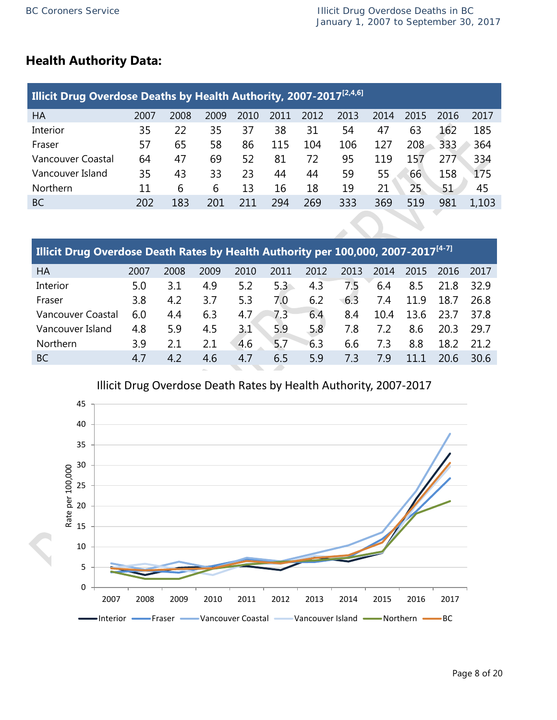## **Health Authority Data:**

| <b>Illicit Drug Overdose Deaths by Health Authority, 2007-2017<sup>[2,4,6]</sup></b> |      |      |      |      |      |      |      |      |      |      |       |  |  |
|--------------------------------------------------------------------------------------|------|------|------|------|------|------|------|------|------|------|-------|--|--|
| HA                                                                                   | 2007 | 2008 | 2009 | 2010 | 2011 | 2012 | 2013 | 2014 | 2015 | 2016 | 2017  |  |  |
| <b>Interior</b>                                                                      | 35   | 22   | 35   | 37   | 38   | 31   | 54   | 47   | 63   | 162  | 185   |  |  |
| Fraser                                                                               | 57   | 65   | 58   | 86   | 115  | 104  | 106  | 127  | 208  | 333  | 364   |  |  |
| Vancouver Coastal                                                                    | 64   | 47   | 69   | 52   | 81   | 72   | 95   | 119  | 157  | 277  | 334   |  |  |
| Vancouver Island                                                                     | 35   | 43   | 33   | 23   | 44   | 44   | 59   | 55   | 66   | 158  | 175   |  |  |
| <b>Northern</b>                                                                      | 11   | 6    | 6    | 13   | 16   | 18   | 19   | 21   | 25   | 51   | 45    |  |  |
| <b>BC</b>                                                                            | 202  | 183  | 201  | 211  | 294  | 269  | 333  | 369  | 519  | 981  | 1.103 |  |  |

| Illicit Drug Overdose Death Rates by Health Authority per 100,000, 2007-2017 <sup>[4-7]</sup> |      |      |      |      |      |      |      |      |      |      |      |  |  |
|-----------------------------------------------------------------------------------------------|------|------|------|------|------|------|------|------|------|------|------|--|--|
| HA                                                                                            | 2007 | 2008 | 2009 | 2010 | 2011 | 2012 | 2013 | 2014 | 2015 | 2016 | 2017 |  |  |
| Interior                                                                                      | 5.0  | 3.1  | 4.9  | 5.2  | 5.3  | 4.3  | 7.5  | 6.4  | 8.5  | 21.8 | 32.9 |  |  |
| Fraser                                                                                        | 3.8  | 4.2  | 3.7  | 5.3  | 7.0  | 6.2  | 6.3  | 7.4  | 11.9 | 18.7 | 26.8 |  |  |
| Vancouver Coastal                                                                             | 6.0  | 4.4  | 6.3  | 4.7  | 7.3  | 6.4  | 8.4  | 10.4 | 13.6 | 23.7 | 37.8 |  |  |
| Vancouver Island                                                                              | 4.8  | 5.9  | 4.5  | 3.1  | 5.9  | 5.8  | 7.8  | 7.2  | 8.6  | 20.3 | 29.7 |  |  |
| <b>Northern</b>                                                                               | 3.9  | 2.1  | 2.1  | 4.6  | 5.7  | 6.3  | 6.6  | 7.3  | 8.8  | 18.2 | 21.2 |  |  |
| BC                                                                                            | 4.7  | 4.2  | 4.6  | 4.7  | 6.5  | 5.9  | 7.3  | 79   | 11.1 | 20.6 | 30.6 |  |  |



Illicit Drug Overdose Death Rates by Health Authority, 2007-2017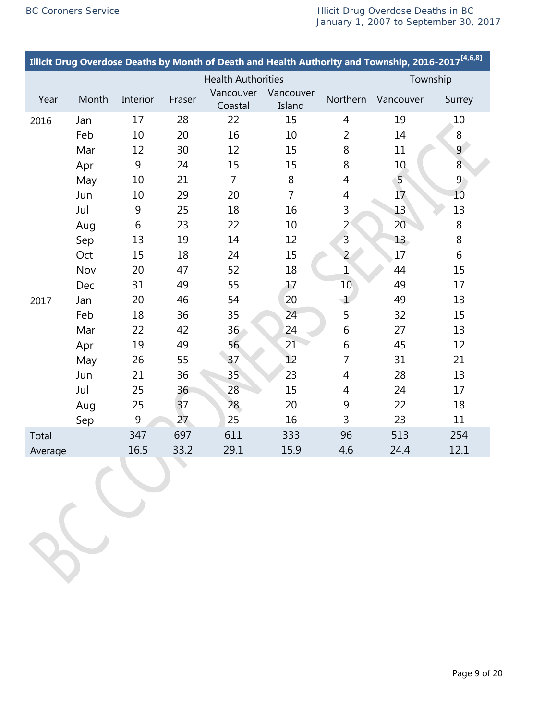LC

|         |       |          |        |                           |                     |                | Illicit Drug Overdose Deaths by Month of Death and Health Authority and Township, 2016-2017 <sup>[4,6,8]</sup> |                |
|---------|-------|----------|--------|---------------------------|---------------------|----------------|----------------------------------------------------------------------------------------------------------------|----------------|
|         |       |          |        | <b>Health Authorities</b> |                     |                | Township                                                                                                       |                |
| Year    | Month | Interior | Fraser | Vancouver<br>Coastal      | Vancouver<br>Island | Northern       | Vancouver                                                                                                      | Surrey         |
| 2016    | Jan   | 17       | 28     | 22                        | 15                  | $\overline{4}$ | 19                                                                                                             | 10             |
|         | Feb   | 10       | 20     | 16                        | 10                  | $\overline{2}$ | 14                                                                                                             | 8              |
|         | Mar   | 12       | 30     | 12                        | 15                  | 8              | 11                                                                                                             | 9 <sup>°</sup> |
|         | Apr   | 9        | 24     | 15                        | 15                  | 8              | 10 <sub>1</sub>                                                                                                | $8\phantom{.}$ |
|         | May   | 10       | 21     | $\overline{7}$            | 8                   | $\overline{4}$ | 5 <sup>1</sup>                                                                                                 | $\overline{9}$ |
|         | Jun   | 10       | 29     | 20                        | $\overline{7}$      | 4              | 17                                                                                                             | 10             |
|         | Jul   | 9        | 25     | 18                        | 16                  | 3              | 13                                                                                                             | 13             |
|         | Aug   | 6        | 23     | 22                        | 10                  | $\overline{2}$ | 20                                                                                                             | $\,8\,$        |
|         | Sep   | 13       | 19     | 14                        | 12                  | $\overline{3}$ | 13 <sup>2</sup>                                                                                                | 8              |
|         | Oct   | 15       | 18     | 24                        | 15                  | $\overline{2}$ | 17                                                                                                             | 6              |
|         | Nov   | 20       | 47     | 52                        | 18                  | $\mathbf 1$    | 44                                                                                                             | 15             |
|         | Dec   | 31       | 49     | 55                        | 17                  | 10             | 49                                                                                                             | 17             |
| 2017    | Jan   | 20       | 46     | 54                        | 20                  | $\mathbf 1$    | 49                                                                                                             | 13             |
|         | Feb   | 18       | 36     | 35                        | 24                  | 5              | 32                                                                                                             | 15             |
|         | Mar   | 22       | 42     | 36                        | 24                  | 6              | 27                                                                                                             | 13             |
|         | Apr   | 19       | 49     | 56                        | 21                  | 6              | 45                                                                                                             | 12             |
|         | May   | 26       | 55     | 37                        | 12                  | $\overline{7}$ | 31                                                                                                             | 21             |
|         | Jun   | 21       | 36     | 35 <sub>o</sub>           | 23                  | $\overline{4}$ | 28                                                                                                             | 13             |
|         | Jul   | 25       | 36     | 28                        | 15                  | 4              | 24                                                                                                             | 17             |
|         | Aug   | 25       | 37     | 28                        | 20                  | 9              | 22                                                                                                             | 18             |
|         | Sep   | 9        | 27     | 25                        | 16                  | 3              | 23                                                                                                             | 11             |
| Total   |       | 347      | 697    | 611                       | 333                 | 96             | 513                                                                                                            | 254            |
| Average |       | 16.5     | 33.2   | 29.1                      | 15.9                | 4.6            | 24.4                                                                                                           | 12.1           |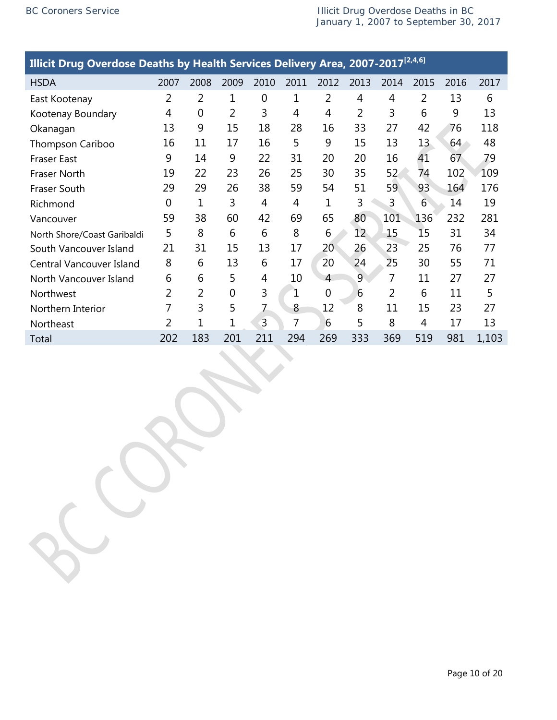| Illicit Drug Overdose Deaths by Health Services Delivery Area, 2007-2017 <sup>[2,4,6]</sup> |                |      |                |                |      |      |                 |                |      |      |       |  |
|---------------------------------------------------------------------------------------------|----------------|------|----------------|----------------|------|------|-----------------|----------------|------|------|-------|--|
| <b>HSDA</b>                                                                                 | 2007           | 2008 | 2009           | 2010           | 2011 | 2012 | 2013            | 2014           | 2015 | 2016 | 2017  |  |
| East Kootenay                                                                               | 2              | 2    | 1              | 0              | 1    | 2    | 4               | 4              | 2    | 13   | 6     |  |
| Kootenay Boundary                                                                           | 4              | 0    | 2              | 3              | 4    | 4    | $\overline{2}$  | 3              | 6    | 9    | 13    |  |
| Okanagan                                                                                    | 13             | 9    | 15             | 18             | 28   | 16   | 33              | 27             | 42   | 76   | 118   |  |
| Thompson Cariboo                                                                            | 16             | 11   | 17             | 16             | 5    | 9    | 15              | 13             | 13   | 64   | 48    |  |
| <b>Fraser East</b>                                                                          | 9              | 14   | 9              | 22             | 31   | 20   | 20              | 16             | 41   | 67   | 79    |  |
| <b>Fraser North</b>                                                                         | 19             | 22   | 23             | 26             | 25   | 30   | 35              | 52             | 74   | 102  | 109   |  |
| <b>Fraser South</b>                                                                         | 29             | 29   | 26             | 38             | 59   | 54   | 51              | 59             | 93   | 164  | 176   |  |
| Richmond                                                                                    | $\overline{0}$ | 1    | 3              | $\overline{4}$ | 4    | 1    | 3               | 3              | 6    | 14   | 19    |  |
| Vancouver                                                                                   | 59             | 38   | 60             | 42             | 69   | 65   | 80              | 101            | 136  | 232  | 281   |  |
| North Shore/Coast Garibaldi                                                                 | 5              | 8    | 6              | 6              | 8    | 6    | 12 <sup>°</sup> | 15             | 15   | 31   | 34    |  |
| South Vancouver Island                                                                      | 21             | 31   | 15             | 13             | 17   | 20   | 26              | 23             | 25   | 76   | 77    |  |
| Central Vancouver Island                                                                    | 8              | 6    | 13             | 6              | 17   | 20   | 24              | 25             | 30   | 55   | 71    |  |
| North Vancouver Island                                                                      | 6              | 6    | 5              | 4              | 10   | 4    | 9               | $\overline{7}$ | 11   | 27   | 27    |  |
| Northwest                                                                                   | 2              | 2    | $\overline{0}$ | 3              | 1    | 0    | 6               | 2              | 6    | 11   | 5     |  |
| Northern Interior                                                                           | 7              | 3    | 5              | 7              | 8    | 12   | 8               | 11             | 15   | 23   | 27    |  |
| Northeast                                                                                   | 2              | 1    | 1              | 3              | 7    | 6    | 5               | 8              | 4    | 17   | 13    |  |
| Total                                                                                       | 202            | 183  | 201            | 211            | 294  | 269  | 333             | 369            | 519  | 981  | 1,103 |  |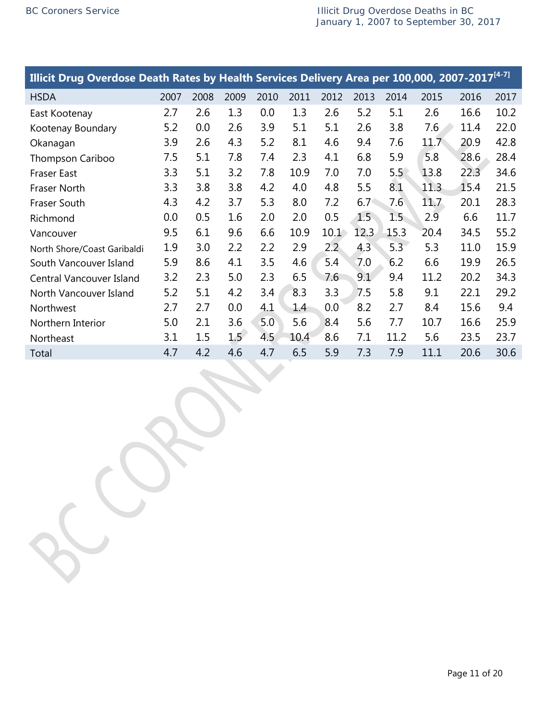| Illicit Drug Overdose Death Rates by Health Services Delivery Area per 100,000, 2007-2017 <sup>[4-7]</sup> |      |      |      |      |      |               |      |      |      |      |      |
|------------------------------------------------------------------------------------------------------------|------|------|------|------|------|---------------|------|------|------|------|------|
| <b>HSDA</b>                                                                                                | 2007 | 2008 | 2009 | 2010 | 2011 | 2012          | 2013 | 2014 | 2015 | 2016 | 2017 |
| East Kootenay                                                                                              | 2.7  | 2.6  | 1.3  | 0.0  | 1.3  | 2.6           | 5.2  | 5.1  | 2.6  | 16.6 | 10.2 |
| Kootenay Boundary                                                                                          | 5.2  | 0.0  | 2.6  | 3.9  | 5.1  | 5.1           | 2.6  | 3.8  | 7.6  | 11.4 | 22.0 |
| Okanagan                                                                                                   | 3.9  | 2.6  | 4.3  | 5.2  | 8.1  | 4.6           | 9.4  | 7.6  | 11.7 | 20.9 | 42.8 |
| Thompson Cariboo                                                                                           | 7.5  | 5.1  | 7.8  | 7.4  | 2.3  | 4.1           | 6.8  | 5.9  | 5.8  | 28.6 | 28.4 |
| <b>Fraser East</b>                                                                                         | 3.3  | 5.1  | 3.2  | 7.8  | 10.9 | 7.0           | 7.0  | 5.5  | 13.8 | 22.3 | 34.6 |
| Fraser North                                                                                               | 3.3  | 3.8  | 3.8  | 4.2  | 4.0  | 4.8           | 5.5  | 8.1  | 11.3 | 15.4 | 21.5 |
| Fraser South                                                                                               | 4.3  | 4.2  | 3.7  | 5.3  | 8.0  | 7.2           | 6.7  | 7.6  | 11.7 | 20.1 | 28.3 |
| Richmond                                                                                                   | 0.0  | 0.5  | 1.6  | 2.0  | 2.0  | 0.5           | 1.5  | 1.5  | 2.9  | 6.6  | 11.7 |
| Vancouver                                                                                                  | 9.5  | 6.1  | 9.6  | 6.6  | 10.9 | 10.1          | 12.3 | 15.3 | 20.4 | 34.5 | 55.2 |
| North Shore/Coast Garibaldi                                                                                | 1.9  | 3.0  | 2.2  | 2.2  | 2.9  | $2.2^{\circ}$ | 4.3  | 5.3  | 5.3  | 11.0 | 15.9 |
| South Vancouver Island                                                                                     | 5.9  | 8.6  | 4.1  | 3.5  | 4.6  | 5.4           | 7.0  | 6.2  | 6.6  | 19.9 | 26.5 |
| Central Vancouver Island                                                                                   | 3.2  | 2.3  | 5.0  | 2.3  | 6.5  | 7.6           | 9.1  | 9.4  | 11.2 | 20.2 | 34.3 |
| North Vancouver Island                                                                                     | 5.2  | 5.1  | 4.2  | 3.4  | 8.3  | 3.3           | 7.5  | 5.8  | 9.1  | 22.1 | 29.2 |
| Northwest                                                                                                  | 2.7  | 2.7  | 0.0  | 4.1  | 1.4  | 0.0           | 8.2  | 2.7  | 8.4  | 15.6 | 9.4  |
| Northern Interior                                                                                          | 5.0  | 2.1  | 3.6  | 5.0  | 5.6  | 8.4           | 5.6  | 7.7  | 10.7 | 16.6 | 25.9 |
| Northeast                                                                                                  | 3.1  | 1.5  | 1.5  | 4.5  | 10.4 | 8.6           | 7.1  | 11.2 | 5.6  | 23.5 | 23.7 |
| Total                                                                                                      | 4.7  | 4.2  | 4.6  | 4.7  | 6.5  | 5.9           | 7.3  | 7.9  | 11.1 | 20.6 | 30.6 |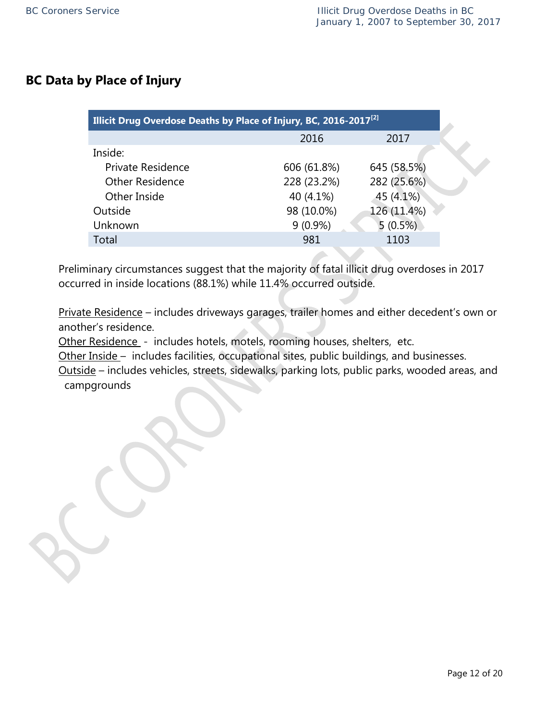## **BC Data by Place of Injury**

| Illicit Drug Overdose Deaths by Place of Injury, BC, 2016-2017 <sup>[2]</sup> |             |             |  |
|-------------------------------------------------------------------------------|-------------|-------------|--|
|                                                                               | 2016        | 2017        |  |
| Inside:                                                                       |             |             |  |
| Private Residence                                                             | 606 (61.8%) | 645 (58.5%) |  |
| <b>Other Residence</b>                                                        | 228 (23.2%) | 282 (25.6%) |  |
| Other Inside                                                                  | 40 (4.1%)   | 45 (4.1%)   |  |
| Outside                                                                       | 98 (10.0%)  | 126 (11.4%) |  |
| Unknown                                                                       | $9(0.9\%)$  | 5(0.5%)     |  |
| Total                                                                         | 981         | 1103        |  |
|                                                                               |             |             |  |

Preliminary circumstances suggest that the majority of fatal illicit drug overdoses in 2017 occurred in inside locations (88.1%) while 11.4% occurred outside.

Private Residence – includes driveways garages, trailer homes and either decedent's own or another's residence.

Other Residence - includes hotels, motels, rooming houses, shelters, etc.

Other Inside – includes facilities, occupational sites, public buildings, and businesses.

Outside – includes vehicles, streets, sidewalks, parking lots, public parks, wooded areas, and campgrounds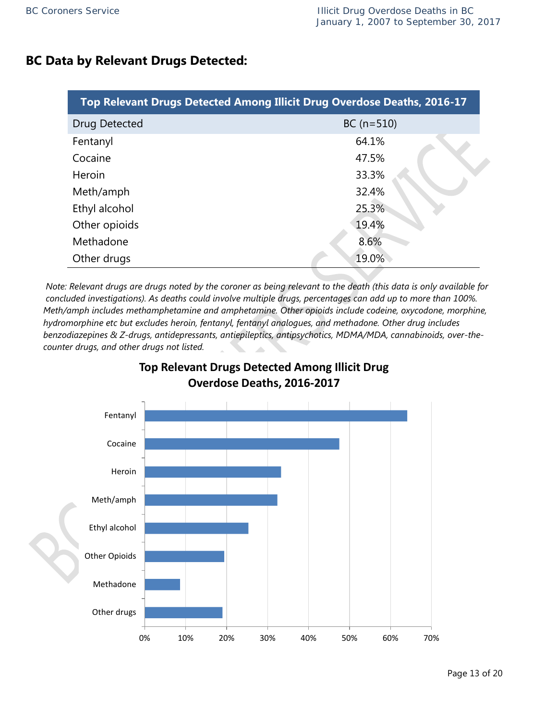## **BC Data by Relevant Drugs Detected:**

| Top Relevant Drugs Detected Among Illicit Drug Overdose Deaths, 2016-17 |              |  |  |
|-------------------------------------------------------------------------|--------------|--|--|
| Drug Detected                                                           | $BC (n=510)$ |  |  |
| Fentanyl                                                                | 64.1%        |  |  |
| Cocaine                                                                 | 47.5%        |  |  |
| Heroin                                                                  | 33.3%        |  |  |
| Meth/amph                                                               | 32.4%        |  |  |
| Ethyl alcohol                                                           | 25.3%        |  |  |
| Other opioids                                                           | 19.4%        |  |  |
| Methadone                                                               | 8.6%         |  |  |
| Other drugs                                                             | 19.0%        |  |  |

 *Note: Relevant drugs are drugs noted by the coroner as being relevant to the death (this data is only available for concluded investigations). As deaths could involve multiple drugs, percentages can add up to more than 100%. Meth/amph includes methamphetamine and amphetamine. Other opioids include codeine, oxycodone, morphine, hydromorphine etc but excludes heroin, fentanyl, fentanyl analogues, and methadone. Other drug includes benzodiazepines & Z-drugs, antidepressants, antiepileptics, antipsychotics, MDMA/MDA, cannabinoids, over-the counter drugs, and other drugs not listed.*

**Top Relevant Drugs Detected Among Illicit Drug** 

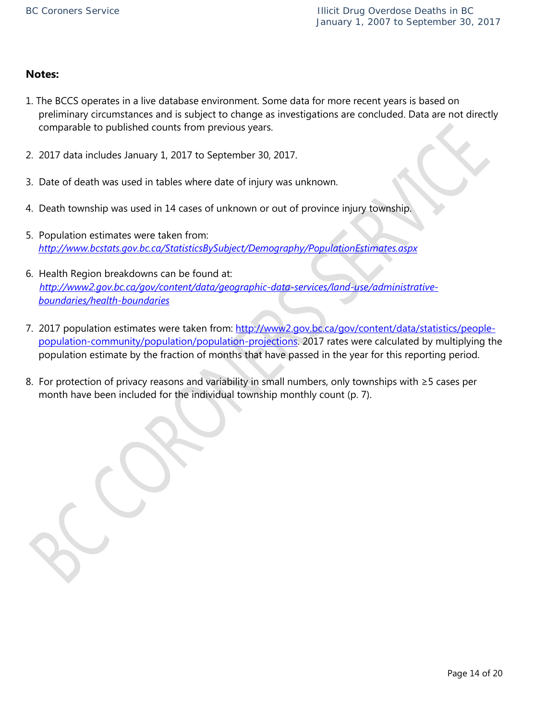#### **Notes:**

- 1. The BCCS operates in a live database environment. Some data for more recent years is based on preliminary circumstances and is subject to change as investigations are concluded. Data are not directly comparable to published counts from previous years.
- 2. 2017 data includes January 1, 2017 to September 30, 2017.
- 3. Date of death was used in tables where date of injury was unknown.
- 4. Death township was used in 14 cases of unknown or out of province injury township.
- 5. Population estimates were taken from: *<http://www.bcstats.gov.bc.ca/StatisticsBySubject/Demography/PopulationEstimates.aspx>*
- 6. Health Region breakdowns can be found at: *[http://www2.gov.bc.ca/gov/content/data/geographic-data-services/land-use/administrative](http://www2.gov.bc.ca/gov/content/data/geographic-data-services/land-use/administrative-boundaries/health-boundaries)[boundaries/health-boundaries](http://www2.gov.bc.ca/gov/content/data/geographic-data-services/land-use/administrative-boundaries/health-boundaries)*
- 7. 2017 population estimates were taken from: [http://www2.gov.bc.ca/gov/content/data/statistics/people](http://www2.gov.bc.ca/gov/content/data/statistics/people-population-community/population/population-projections)[population-community/population/population-projections.](http://www2.gov.bc.ca/gov/content/data/statistics/people-population-community/population/population-projections) 2017 rates were calculated by multiplying the population estimate by the fraction of months that have passed in the year for this reporting period.
- 8. For protection of privacy reasons and variability in small numbers, only townships with ≥5 cases per month have been included for the individual township monthly count (p. 7).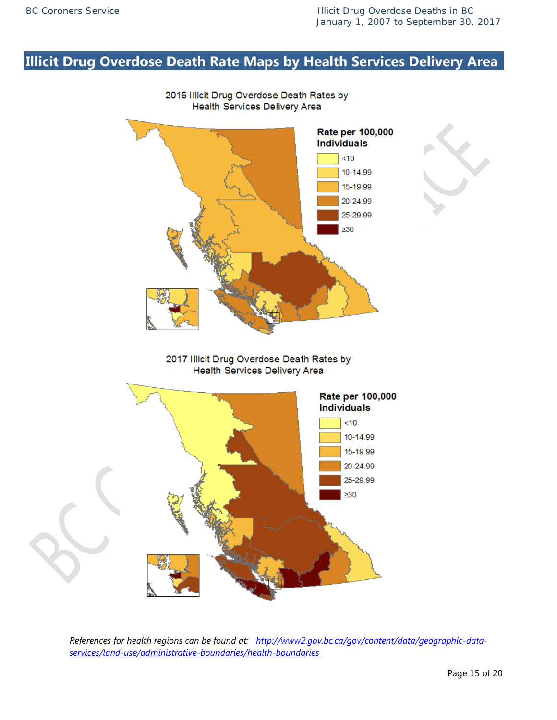# **Illicit Drug Overdose Death Rate Maps by Health Services Delivery Area**



*References for health regions can be found at: [http://www2.gov.bc.ca/gov/content/data/geographic-data-](http://www2.gov.bc.ca/gov/content/data/geographic-data-services/land-use/administrative-boundaries/health-boundaries)*

*[services/land-use/administrative-boundaries/health-boundaries](http://www2.gov.bc.ca/gov/content/data/geographic-data-services/land-use/administrative-boundaries/health-boundaries)*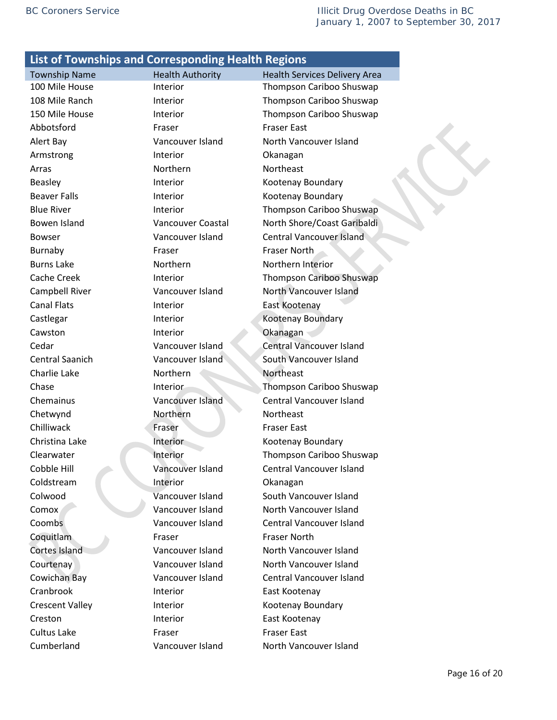Abbotsford **Fraser** Fraser **Fraser** Fraser East Alert Bay Vancouver Island North Vancouver Island Armstrong **Interior** Interior **Okanagan** Arras **Northern** Northeast Northeast Beasley **Interior** Interior **Kootenay Boundary** Beaver Falls **Interior** Interior **Kootenay Boundary** Bowser Vancouver Island Central Vancouver Island Burnaby **Fraser** Fraser **Fraser** Fraser North Burns Lake **Northern** Northern Northern Interior Campbell River **Vancouver Island** North Vancouver Island Canal Flats **Interior** Interior **East Kootenay** Castlegar **Interior** Interior Kootenay Boundary Cawston Interior Cawston Cawston Interior Cedar Vancouver Island Central Vancouver Island Central Saanich Vancouver Island South Vancouver Island Charlie Lake Northern Northeast Chemainus Vancouver Island Central Vancouver Island Chetwynd Northern Northeast **Chilliwack Fraser Fraser Fraser East** Christina Lake Interior Christina Lake Interior Kootenay Boundary Cobble Hill Vancouver Island Central Vancouver Island Coldstream Interior Coldstream Interior Coldstream Colwood Vancouver Island South Vancouver Island Comox Vancouver Island North Vancouver Island Coombs Vancouver Island Central Vancouver Island Coquitlam **Fraser** Fraser Fraser Fraser Rorth Cortes Island Vancouver Island North Vancouver Island Courtenay Vancouver Island North Vancouver Island Cowichan Bay Vancouver Island Central Vancouver Island Cranbrook Interior East Kootenay Crescent Valley **Interior** Interior **Kootenay Boundary** Creston Interior **Interior** East Kootenay Cultus Lake Fraser Fraser East Cumberland Vancouver Island North Vancouver Island

Township Name Thealth Authority Health Services Delivery Area 100 Mile House Interior Thompson Cariboo Shuswap 108 Mile Ranch **Interior** Interior Thompson Cariboo Shuswap 150 Mile House Interior Thompson Cariboo Shuswap Blue River **Interior** Interior Thompson Cariboo Shuswap Bowen Island Vancouver Coastal North Shore/Coast Garibaldi Cache Creek Interior Thompson Cariboo Shuswap **Chase Interior Interior Thompson Cariboo Shuswap** Clearwater Interior Thompson Cariboo Shuswap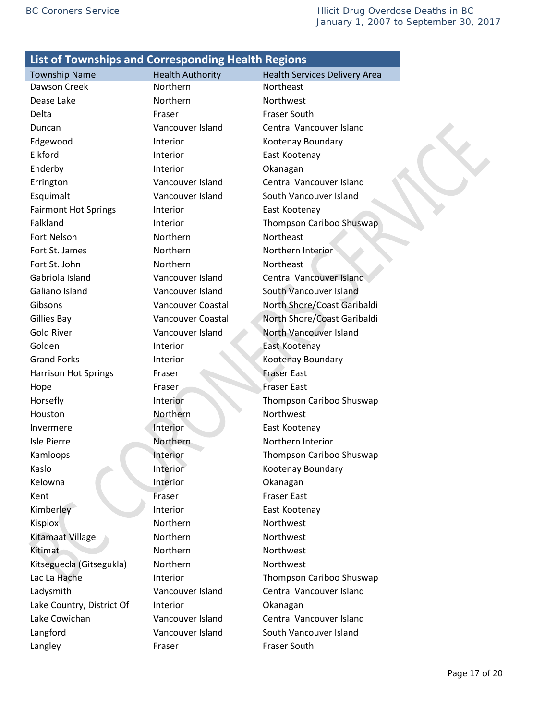Township Name Thealth Authority Health Services Delivery Area Dawson Creek Northern Northeast Dease Lake Northern Northwest Delta **Fraser** Fraser **Fraser** Fraser South Duncan Vancouver Island Central Vancouver Island Edgewood **Interior** Interior Kootenay Boundary Elkford **Interior** Interior **East Kootenay** Enderby **Interior Interior** Okanagan Errington Vancouver Island Central Vancouver Island Esquimalt Vancouver Island South Vancouver Island Fairmont Hot Springs Interior Fairmont Hot Springs Interior Falkland **Interior** Interior Thompson Cariboo Shuswap Fort Nelson **Northern** Northeast Fort St. James **Northern** Northern Northern Interior Fort St. John Northern Northeast Gabriola Island Vancouver Island Central Vancouver Island Galiano Island Vancouver Island South Vancouver Island Gibsons Vancouver Coastal North Shore/Coast Garibaldi Gillies Bay Vancouver Coastal North Shore/Coast Garibaldi Gold River **Vancouver Island** North Vancouver Island Golden Interior East Kootenay Grand Forks **Interior** Interior **Cooperation** Kootenay Boundary Harrison Hot Springs Fraser Fraser Fraser Fraser East Hope Fraser Fraser Fraser Fraser East Horsefly **Interior** Interior Thompson Cariboo Shuswap Houston Northern Northwest Invermere Interior East Kootenay Isle Pierre Northern Northern Interior Kamloops Interior Thompson Cariboo Shuswap Kaslo **Interior** Interior Kootenay Boundary Kelowna **Interior** Interior **Okanagan** Kent Fraser Fraser Fraser East Kimberley **Interior** East Kootenay Kispiox Northern Northwest Kitamaat Village Northern Northwest Kitimat Northern Northwest Kitseguecla (Gitsegukla) Morthern Northwest Lac La Hache **Interior** Interior **Interior** Thompson Cariboo Shuswap Ladysmith Vancouver Island Central Vancouver Island Lake Country, District Of Interior Chanagan Lake Cowichan Vancouver Island Central Vancouver Island Langford Vancouver Island South Vancouver Island Langley **Fraser** Fraser **Fraser** Fraser South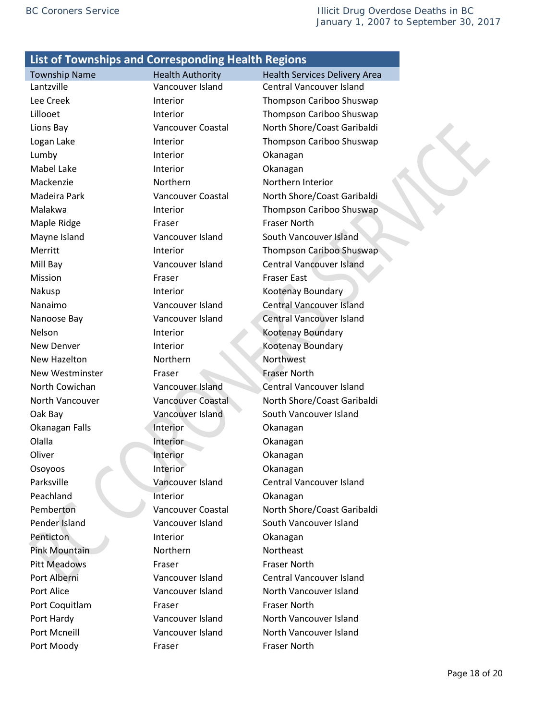Lumby **Interior Interior Okanagan** Mabel Lake Interior Chanagan Mackenzie Northern Northern Interior Maple Ridge **Fraser** Fraser Fraser **Fraser** Fraser North Mayne Island Vancouver Island South Vancouver Island Mission **Fraser** Fraser **Fraser** Fraser East Nakusp **Interior** Interior **Kootenay Boundary** Nelson Interior Contract Nelson Nelson Nelson New Denver **Interior** Interior Kootenay Boundary New Hazelton Northern Northwest New Westminster Fraser Fraser Fraser Fraser Rorth Oak Bay Vancouver Island South Vancouver Island Okanagan Falls **Interior** Chanagan Olalla **Interior** Okanagan Oliver **Interior Interior** Okanagan Osoyoos Interior Okanagan Peachland Interior Okanagan Pender Island Vancouver Island South Vancouver Island Penticton Interior Chanagan Pink Mountain Northern Northeast Pitt Meadows **Fraser** Fraser **Fraser** Fraser North Port Alice **Vancouver Island** North Vancouver Island Port Coquitlam Fraser Fraser Fraser North Port Hardy Vancouver Island North Vancouver Island Port Mcneill **Vancouver Island** North Vancouver Island Port Moody **Fraser** Fraser Fraser Fraser Rorth

Township Name Thealth Authority Health Services Delivery Area Lantzville Vancouver Island Central Vancouver Island Lee Creek **Interior** Interior Thompson Cariboo Shuswap Lillooet Interior Thompson Cariboo Shuswap Lions Bay Vancouver Coastal North Shore/Coast Garibaldi Logan Lake **Interior** Interior **Interior** Thompson Cariboo Shuswap Madeira Park Vancouver Coastal North Shore/Coast Garibaldi Malakwa Interior Interior Thompson Cariboo Shuswap Merritt **Interior** Interior Thompson Cariboo Shuswap Mill Bay Vancouver Island Central Vancouver Island Nanaimo Vancouver Island Central Vancouver Island Nanoose Bay Vancouver Island Central Vancouver Island North Cowichan Vancouver Island Central Vancouver Island North Vancouver Vancouver Coastal North Shore/Coast Garibaldi Parksville Vancouver Island Central Vancouver Island Pemberton Vancouver Coastal North Shore/Coast Garibaldi Port Alberni Vancouver Island Central Vancouver Island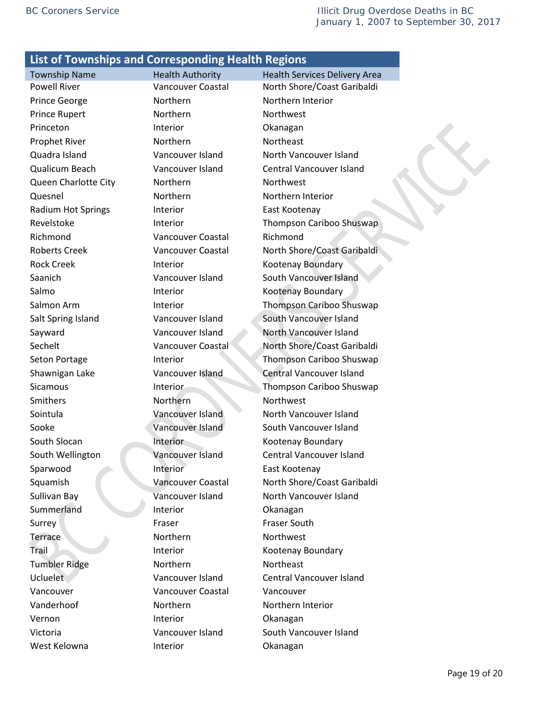Prince George **Northern** Northern Northern Interior Prince Rupert **Northern** Northern Northwest Princeton Interior Distances Interior Distances Distances Okanagan Prophet River Northern Northeast Queen Charlotte City Morthern Northwest Quesnel Northern Northern Interior Radium Hot Springs **Interior** East Kootenay Richmond Vancouver Coastal Richmond Rock Creek **Interior** Interior Kootenay Boundary Salmo Interior Cootenay Boundary Smithers Northern Northwest South Slocan **Interior** Interior Kootenay Boundary Sparwood **Interior** East Kootenay Summerland Interior Ckanagan Surrey **Fraser** Fraser **Fraser** Fraser South Terrace Northern Northwest Trail Interior Cootenay Boundary Tumbler Ridge Northern Northeast Vancouver Vancouver Coastal Vancouver Vanderhoof Northern Northern Northern Interior Vernon Interior **Okanagan** West Kelowna **Interior** Interior **Okanagan** 

Township Name **Health Authority** Health Services Delivery Area Powell River Vancouver Coastal North Shore/Coast Garibaldi Quadra Island Vancouver Island North Vancouver Island Qualicum Beach Vancouver Island Central Vancouver Island Revelstoke Interior Interior Thompson Cariboo Shuswap Roberts Creek Vancouver Coastal North Shore/Coast Garibaldi Saanich Vancouver Island South Vancouver Island Salmon Arm **Interior** Interior Thompson Cariboo Shuswap Salt Spring Island Vancouver Island South Vancouver Island Sayward **Vancouver Island** North Vancouver Island Sechelt Vancouver Coastal North Shore/Coast Garibaldi Seton Portage **Interior** Interior Thompson Cariboo Shuswap Shawnigan Lake Vancouver Island Central Vancouver Island Sicamous Interior Thompson Cariboo Shuswap Sointula **Vancouver Island** North Vancouver Island Sooke Vancouver Island South Vancouver Island South Wellington Vancouver Island Central Vancouver Island Squamish Vancouver Coastal North Shore/Coast Garibaldi Sullivan Bay Vancouver Island North Vancouver Island Ucluelet Vancouver Island Central Vancouver Island Victoria Vancouver Island South Vancouver Island